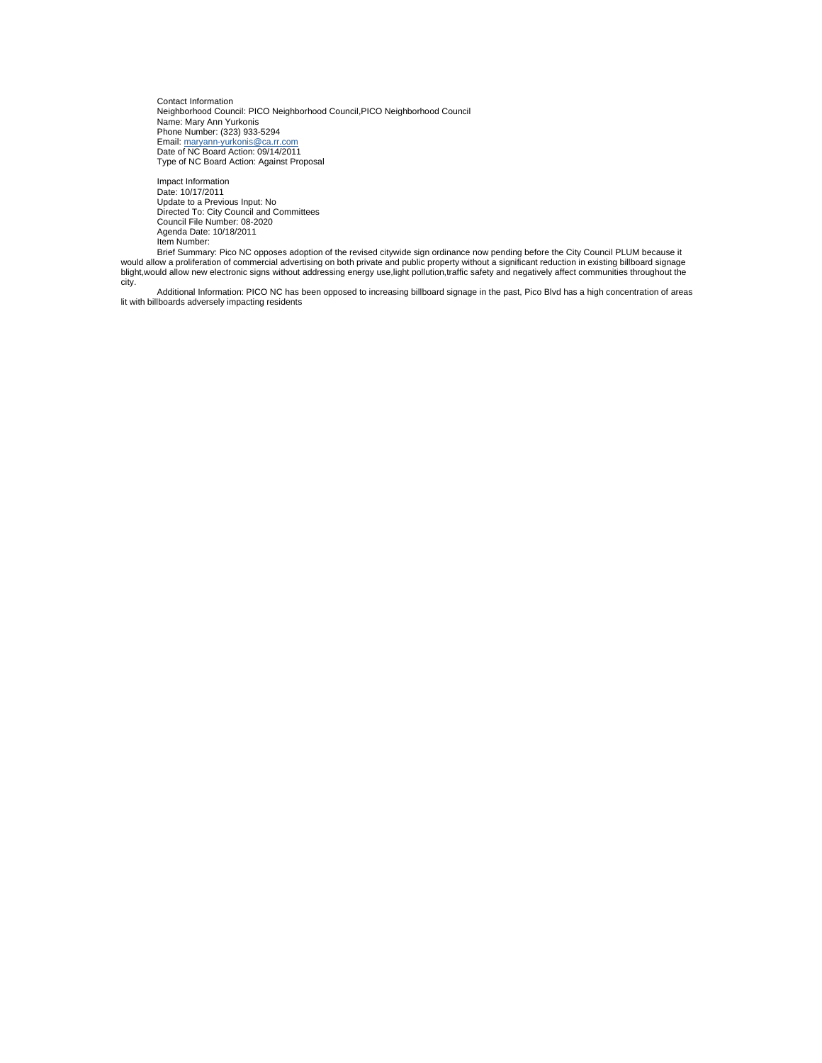Contact Information Neighborhood Council: PICO Neighborhood Council,PICO Neighborhood Council Name: Mary Ann Yurkonis Phone Number: (323) 933-5294 Email: [maryann-yurkonis@ca.rr.com](mailto:maryann-yurkonis@ca.rr.com) Date of NC Board Action: 09/14/2011 Type of NC Board Action: Against Proposal

Impact Information Date: 10/17/2011 Update to a Previous Input: No Directed To: City Council and Committees Council File Number: 08-2020 Agenda Date: 10/18/2011

Item Number: Brief Summary: Pico NC opposes adoption of the revised citywide sign ordinance now pending before the City Council PLUM because it would allow a proliferation of commercial advertising on both private and public property without a significant reduction in existing billboard signage<br>blight,would allow new electronic signs without addressing energy use, city.

Additional Information: PICO NC has been opposed to increasing billboard signage in the past, Pico Blvd has a high concentration of areas lit with billboards adversely impacting residents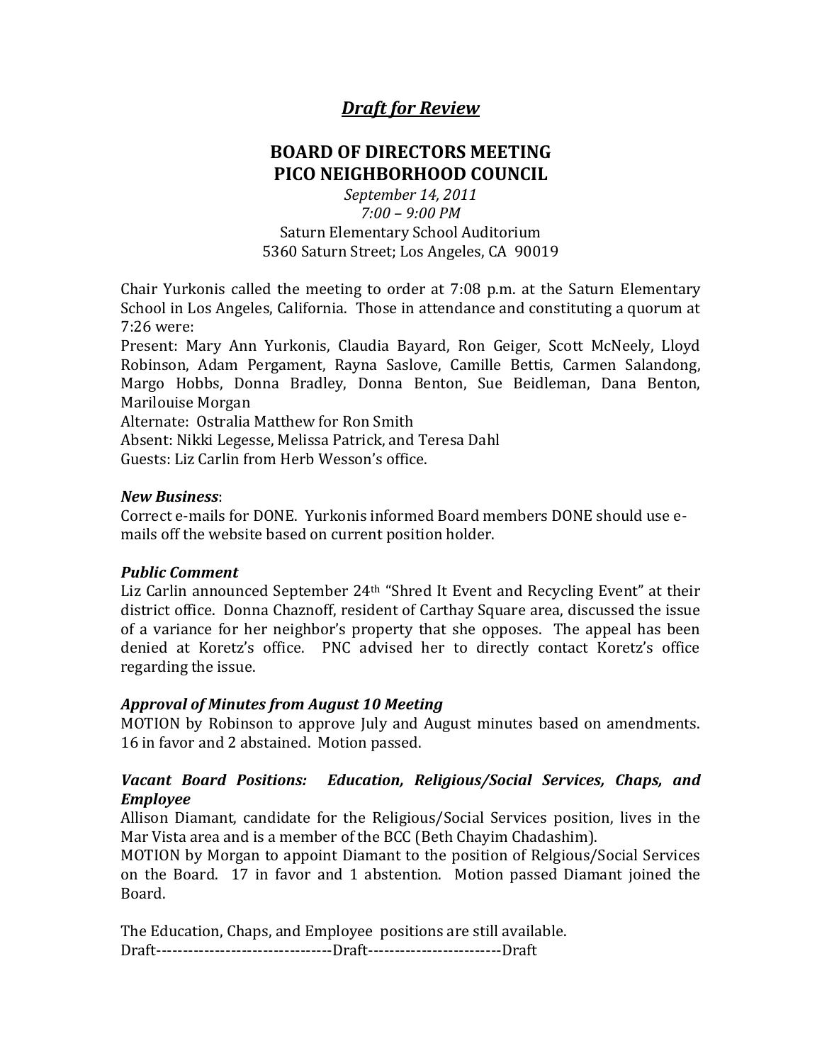# *Draft for Review*

# **BOARD OF DIRECTORS MEETING PICO NEIGHBORHOOD COUNCIL**

*September 14, 2011 7:00 – 9:00 PM* Saturn Elementary School Auditorium 5360 Saturn Street; Los Angeles, CA 90019

Chair Yurkonis called the meeting to order at 7:08 p.m. at the Saturn Elementary School in Los Angeles, California. Those in attendance and constituting a quorum at 7:26 were:

Present: Mary Ann Yurkonis, Claudia Bayard, Ron Geiger, Scott McNeely, Lloyd Robinson, Adam Pergament, Rayna Saslove, Camille Bettis, Carmen Salandong, Margo Hobbs, Donna Bradley, Donna Benton, Sue Beidleman, Dana Benton, Marilouise Morgan

Alternate: Ostralia Matthew for Ron Smith

Absent: Nikki Legesse, Melissa Patrick, and Teresa Dahl

Guests: Liz Carlin from Herb Wesson's office.

#### *New Business*:

Correct e-mails for DONE. Yurkonis informed Board members DONE should use emails off the website based on current position holder.

## *Public Comment*

Liz Carlin announced September 24<sup>th</sup> "Shred It Event and Recycling Event" at their district office. Donna Chaznoff, resident of Carthay Square area, discussed the issue of a variance for her neighbor's property that she opposes. The appeal has been denied at Koretz's office. PNC advised her to directly contact Koretz's office regarding the issue.

## *Approval of Minutes from August 10 Meeting*

MOTION by Robinson to approve July and August minutes based on amendments. 16 in favor and 2 abstained. Motion passed.

## *Vacant Board Positions: Education, Religious/Social Services, Chaps, and Employee*

Allison Diamant, candidate for the Religious/Social Services position, lives in the Mar Vista area and is a member of the BCC (Beth Chayim Chadashim).

MOTION by Morgan to appoint Diamant to the position of Relgious/Social Services on the Board. 17 in favor and 1 abstention. Motion passed Diamant joined the Board.

The Education, Chaps, and Employee positions are still available. Draft---------------------------------Draft-------------------------Draft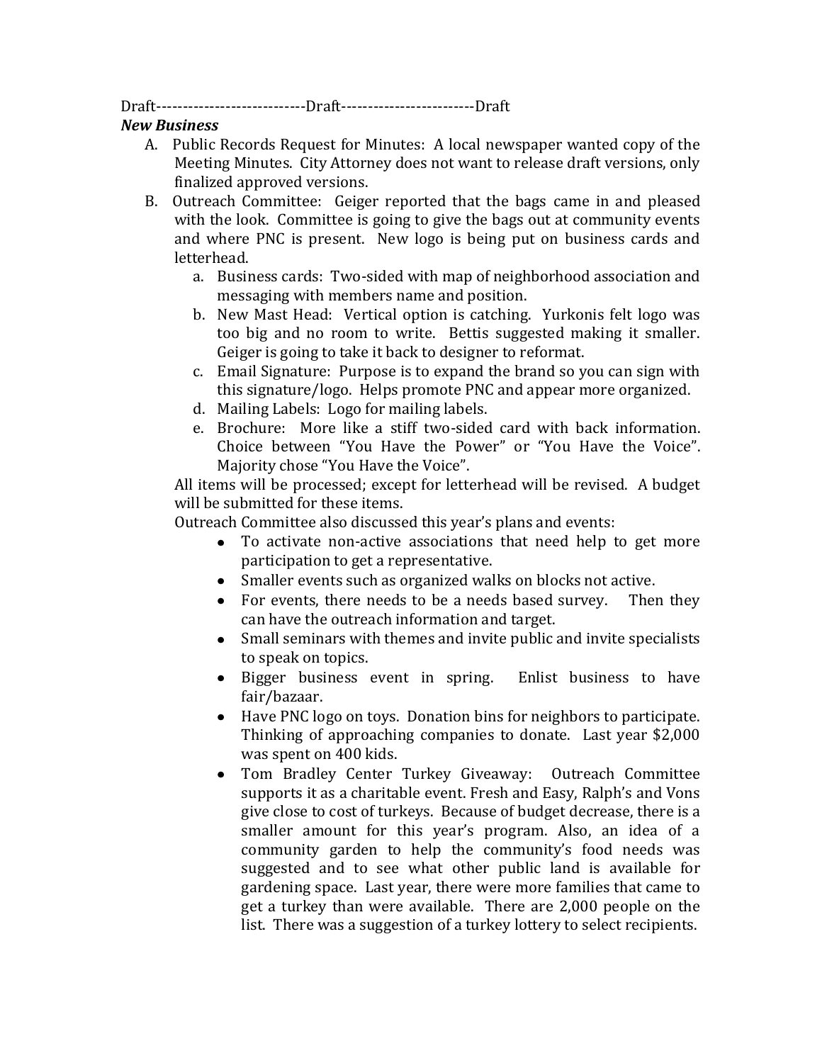Draft----------------------------Draft-------------------------Draft

## *New Business*

- A. Public Records Request for Minutes: A local newspaper wanted copy of the Meeting Minutes. City Attorney does not want to release draft versions, only finalized approved versions.
- B. Outreach Committee: Geiger reported that the bags came in and pleased with the look. Committee is going to give the bags out at community events and where PNC is present. New logo is being put on business cards and letterhead.
	- a. Business cards: Two-sided with map of neighborhood association and messaging with members name and position.
	- b. New Mast Head: Vertical option is catching. Yurkonis felt logo was too big and no room to write. Bettis suggested making it smaller. Geiger is going to take it back to designer to reformat.
	- c. Email Signature: Purpose is to expand the brand so you can sign with this signature/logo. Helps promote PNC and appear more organized.
	- d. Mailing Labels: Logo for mailing labels.
	- e. Brochure: More like a stiff two-sided card with back information. Choice between "You Have the Power" or "You Have the Voice". Majority chose "You Have the Voice".

All items will be processed; except for letterhead will be revised. A budget will be submitted for these items.

Outreach Committee also discussed this year's plans and events:

- To activate non-active associations that need help to get more participation to get a representative.
- Smaller events such as organized walks on blocks not active.
- For events, there needs to be a needs based survey. Then they can have the outreach information and target.
- Small seminars with themes and invite public and invite specialists to speak on topics.
- Bigger business event in spring. Enlist business to have fair/bazaar.
- Have PNC logo on toys. Donation bins for neighbors to participate. Thinking of approaching companies to donate. Last year \$2,000 was spent on 400 kids.
- Tom Bradley Center Turkey Giveaway: Outreach Committee supports it as a charitable event. Fresh and Easy, Ralph's and Vons give close to cost of turkeys. Because of budget decrease, there is a smaller amount for this year's program. Also, an idea of a community garden to help the community's food needs was suggested and to see what other public land is available for gardening space. Last year, there were more families that came to get a turkey than were available. There are 2,000 people on the list. There was a suggestion of a turkey lottery to select recipients.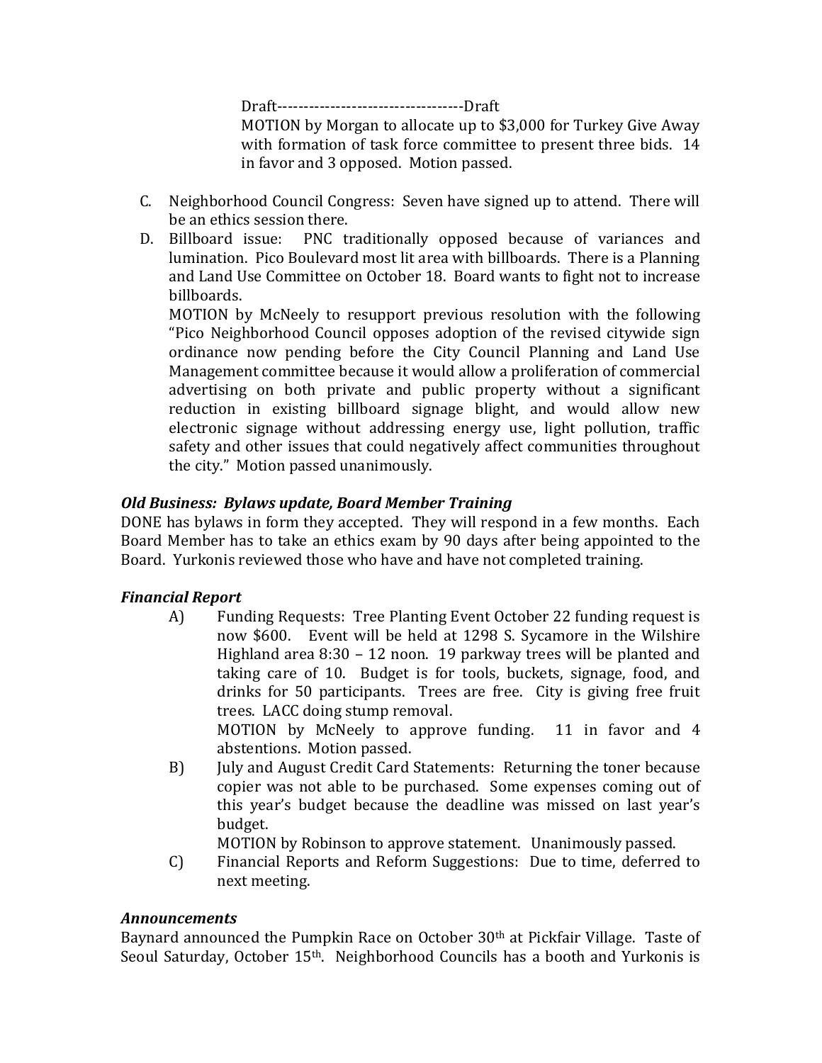Draft-----------------------------------Draft

MOTION by Morgan to allocate up to \$3,000 for Turkey Give Away with formation of task force committee to present three bids. 14 in favor and 3 opposed. Motion passed.

- C. Neighborhood Council Congress: Seven have signed up to attend. There will be an ethics session there.
- D. Billboard issue: PNC traditionally opposed because of variances and lumination. Pico Boulevard most lit area with billboards. There is a Planning and Land Use Committee on October 18. Board wants to fight not to increase billboards.

MOTION by McNeely to resupport previous resolution with the following "Pico Neighborhood Council opposes adoption of the revised citywide sign ordinance now pending before the City Council Planning and Land Use Management committee because it would allow a proliferation of commercial advertising on both private and public property without a significant reduction in existing billboard signage blight, and would allow new electronic signage without addressing energy use, light pollution, traffic safety and other issues that could negatively affect communities throughout the city." Motion passed unanimously.

## *Old Business: Bylaws update, Board Member Training*

DONE has bylaws in form they accepted. They will respond in a few months. Each Board Member has to take an ethics exam by 90 days after being appointed to the Board. Yurkonis reviewed those who have and have not completed training.

## *Financial Report*

A) Funding Requests: Tree Planting Event October 22 funding request is now \$600. Event will be held at 1298 S. Sycamore in the Wilshire Highland area 8:30 – 12 noon. 19 parkway trees will be planted and taking care of 10. Budget is for tools, buckets, signage, food, and drinks for 50 participants. Trees are free. City is giving free fruit trees. LACC doing stump removal.

MOTION by McNeely to approve funding. 11 in favor and 4 abstentions. Motion passed.

B) July and August Credit Card Statements: Returning the toner because copier was not able to be purchased. Some expenses coming out of this year's budget because the deadline was missed on last year's budget.

MOTION by Robinson to approve statement. Unanimously passed.

C) Financial Reports and Reform Suggestions: Due to time, deferred to next meeting.

## *Announcements*

Baynard announced the Pumpkin Race on October 30th at Pickfair Village. Taste of Seoul Saturday, October 15th. Neighborhood Councils has a booth and Yurkonis is